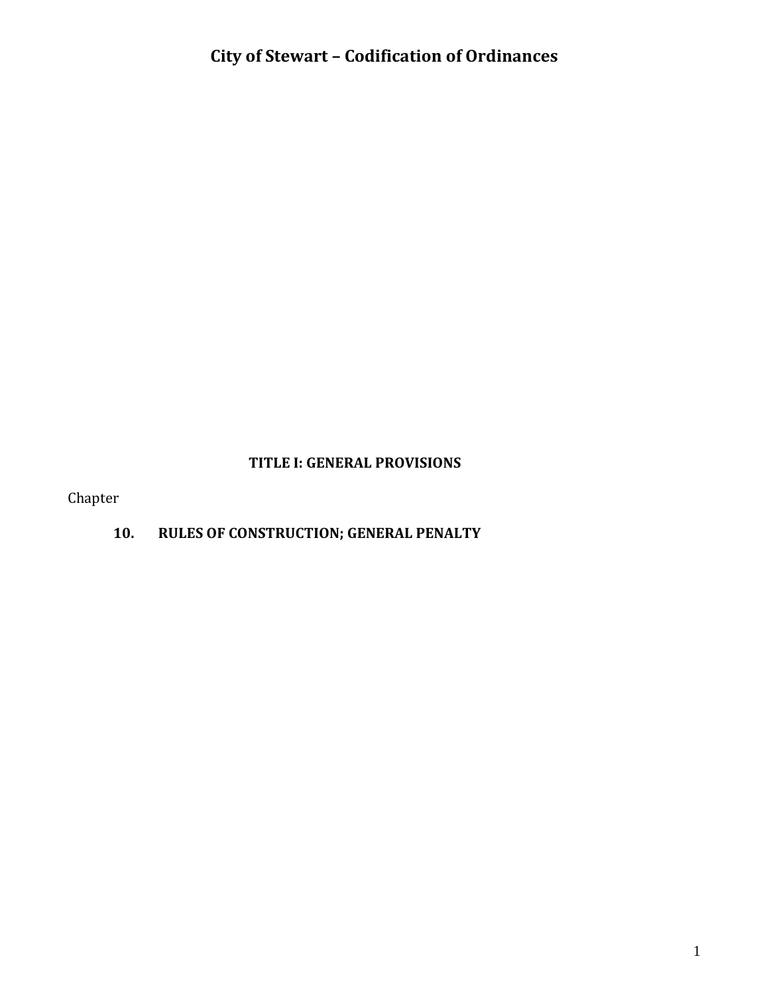#### **TITLE I: GENERAL PROVISIONS**

Chapter

# **10. RULES OF CONSTRUCTION; GENERAL PENALTY**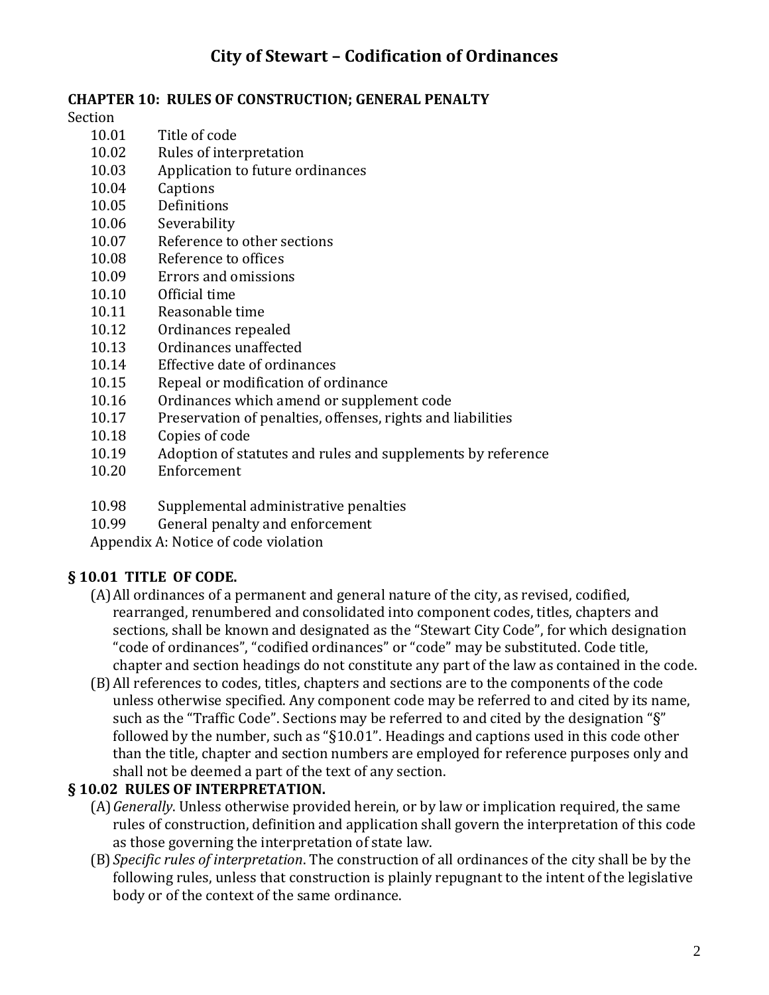#### **CHAPTER 10: RULES OF CONSTRUCTION; GENERAL PENALTY**

Section

- 10.01 Title of code
- 10.02 Rules of interpretation
- 10.03 Application to future ordinances
- 10.04 Captions
- 10.05 Definitions
- 10.06 Severability
- 10.07 Reference to other sections
- 10.08 Reference to offices
- 10.09 Errors and omissions
- 10.10 Official time
- 10.11 Reasonable time
- 10.12 Ordinances repealed
- 10.13 Ordinances unaffected
- 10.14 Effective date of ordinances
- 10.15 Repeal or modification of ordinance
- 10.16 Ordinances which amend or supplement code
- 10.17 Preservation of penalties, offenses, rights and liabilities
- 10.18 Copies of code
- 10.19 Adoption of statutes and rules and supplements by reference
- 10.20 Enforcement
- 10.98 Supplemental administrative penalties
- 10.99 General penalty and enforcement

Appendix A: Notice of code violation

### **§ 10.01 TITLE OF CODE.**

- (A)All ordinances of a permanent and general nature of the city, as revised, codified, rearranged, renumbered and consolidated into component codes, titles, chapters and sections, shall be known and designated as the "Stewart City Code", for which designation "code of ordinances", "codified ordinances" or "code" may be substituted. Code title, chapter and section headings do not constitute any part of the law as contained in the code.
- (B)All references to codes, titles, chapters and sections are to the components of the code unless otherwise specified. Any component code may be referred to and cited by its name, such as the "Traffic Code". Sections may be referred to and cited by the designation "§" followed by the number, such as "§10.01". Headings and captions used in this code other than the title, chapter and section numbers are employed for reference purposes only and shall not be deemed a part of the text of any section.

### **§ 10.02 RULES OF INTERPRETATION.**

- (A)*Generally*. Unless otherwise provided herein, or by law or implication required, the same rules of construction, definition and application shall govern the interpretation of this code as those governing the interpretation of state law.
- (B) *Specific rules of interpretation*. The construction of all ordinances of the city shall be by the following rules, unless that construction is plainly repugnant to the intent of the legislative body or of the context of the same ordinance.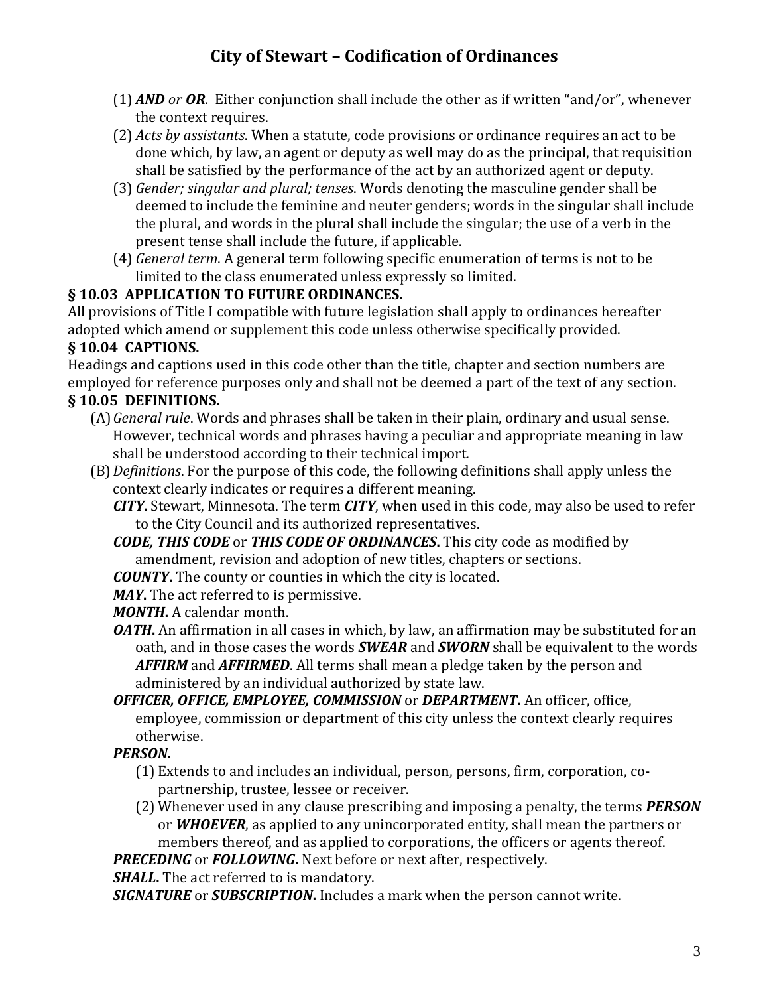- (1) *AND or OR*. Either conjunction shall include the other as if written "and/or", whenever the context requires.
- (2) *Acts by assistants*. When a statute, code provisions or ordinance requires an act to be done which, by law, an agent or deputy as well may do as the principal, that requisition shall be satisfied by the performance of the act by an authorized agent or deputy.
- (3) *Gender; singular and plural; tenses*. Words denoting the masculine gender shall be deemed to include the feminine and neuter genders; words in the singular shall include the plural, and words in the plural shall include the singular; the use of a verb in the present tense shall include the future, if applicable.
- (4) *General term*. A general term following specific enumeration of terms is not to be limited to the class enumerated unless expressly so limited.

### **§ 10.03 APPLICATION TO FUTURE ORDINANCES.**

All provisions of Title I compatible with future legislation shall apply to ordinances hereafter adopted which amend or supplement this code unless otherwise specifically provided.

### **§ 10.04 CAPTIONS.**

Headings and captions used in this code other than the title, chapter and section numbers are employed for reference purposes only and shall not be deemed a part of the text of any section.

### **§ 10.05 DEFINITIONS.**

- (A)*General rule*. Words and phrases shall be taken in their plain, ordinary and usual sense. However, technical words and phrases having a peculiar and appropriate meaning in law shall be understood according to their technical import.
- (B)*Definitions*. For the purpose of this code, the following definitions shall apply unless the context clearly indicates or requires a different meaning.

*CITY***.** Stewart, Minnesota. The term *CITY*, when used in this code, may also be used to refer to the City Council and its authorized representatives.

- *CODE, THIS CODE* or *THIS CODE OF ORDINANCES***.** This city code as modified by amendment, revision and adoption of new titles, chapters or sections.
- *COUNTY***.** The county or counties in which the city is located.

*MAY***.** The act referred to is permissive.

*MONTH***.** A calendar month.

- *OATH*. An affirmation in all cases in which, by law, an affirmation may be substituted for an oath, and in those cases the words *SWEAR* and *SWORN* shall be equivalent to the words *AFFIRM* and *AFFIRMED*. All terms shall mean a pledge taken by the person and administered by an individual authorized by state law.
- *OFFICER, OFFICE, EMPLOYEE, COMMISSION* or *DEPARTMENT***.** An officer, office, employee, commission or department of this city unless the context clearly requires otherwise.

### *PERSON***.**

- (1) Extends to and includes an individual, person, persons, firm, corporation, copartnership, trustee, lessee or receiver.
- (2) Whenever used in any clause prescribing and imposing a penalty, the terms *PERSON* or *WHOEVER*, as applied to any unincorporated entity, shall mean the partners or members thereof, and as applied to corporations, the officers or agents thereof.

*PRECEDING* or *FOLLOWING***.** Next before or next after, respectively.

*SHALL***.** The act referred to is mandatory.

*SIGNATURE* or *SUBSCRIPTION***.** Includes a mark when the person cannot write.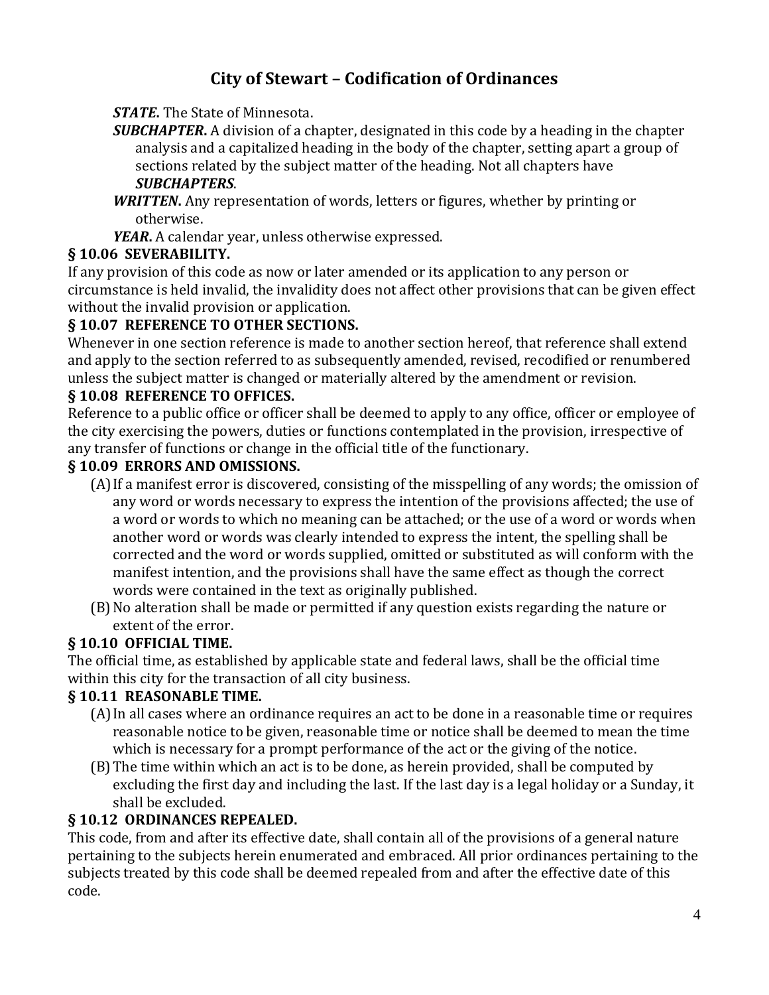*STATE***.** The State of Minnesota.

*SUBCHAPTER***.** A division of a chapter, designated in this code by a heading in the chapter analysis and a capitalized heading in the body of the chapter, setting apart a group of sections related by the subject matter of the heading. Not all chapters have *SUBCHAPTERS*.

*WRITTEN***.** Any representation of words, letters or figures, whether by printing or otherwise.

*YEAR***.** A calendar year, unless otherwise expressed.

### **§ 10.06 SEVERABILITY.**

If any provision of this code as now or later amended or its application to any person or circumstance is held invalid, the invalidity does not affect other provisions that can be given effect without the invalid provision or application.

### **§ 10.07 REFERENCE TO OTHER SECTIONS.**

Whenever in one section reference is made to another section hereof, that reference shall extend and apply to the section referred to as subsequently amended, revised, recodified or renumbered unless the subject matter is changed or materially altered by the amendment or revision.

### **§ 10.08 REFERENCE TO OFFICES.**

Reference to a public office or officer shall be deemed to apply to any office, officer or employee of the city exercising the powers, duties or functions contemplated in the provision, irrespective of any transfer of functions or change in the official title of the functionary.

### **§ 10.09 ERRORS AND OMISSIONS.**

- (A)If a manifest error is discovered, consisting of the misspelling of any words; the omission of any word or words necessary to express the intention of the provisions affected; the use of a word or words to which no meaning can be attached; or the use of a word or words when another word or words was clearly intended to express the intent, the spelling shall be corrected and the word or words supplied, omitted or substituted as will conform with the manifest intention, and the provisions shall have the same effect as though the correct words were contained in the text as originally published.
- (B)No alteration shall be made or permitted if any question exists regarding the nature or extent of the error.

### **§ 10.10 OFFICIAL TIME.**

The official time, as established by applicable state and federal laws, shall be the official time within this city for the transaction of all city business.

### **§ 10.11 REASONABLE TIME.**

- (A)In all cases where an ordinance requires an act to be done in a reasonable time or requires reasonable notice to be given, reasonable time or notice shall be deemed to mean the time which is necessary for a prompt performance of the act or the giving of the notice.
- (B)The time within which an act is to be done, as herein provided, shall be computed by excluding the first day and including the last. If the last day is a legal holiday or a Sunday, it shall be excluded.

### **§ 10.12 ORDINANCES REPEALED.**

This code, from and after its effective date, shall contain all of the provisions of a general nature pertaining to the subjects herein enumerated and embraced. All prior ordinances pertaining to the subjects treated by this code shall be deemed repealed from and after the effective date of this code.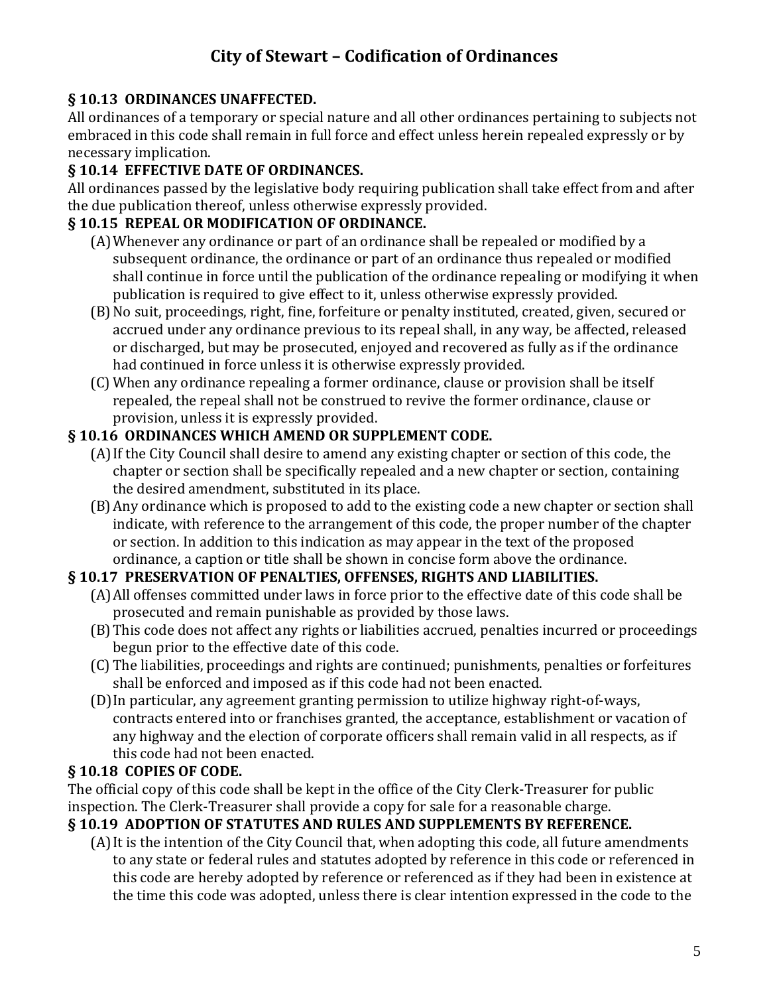### **§ 10.13 ORDINANCES UNAFFECTED.**

All ordinances of a temporary or special nature and all other ordinances pertaining to subjects not embraced in this code shall remain in full force and effect unless herein repealed expressly or by necessary implication.

# **§ 10.14 EFFECTIVE DATE OF ORDINANCES.**

All ordinances passed by the legislative body requiring publication shall take effect from and after the due publication thereof, unless otherwise expressly provided.

### **§ 10.15 REPEAL OR MODIFICATION OF ORDINANCE.**

- (A)Whenever any ordinance or part of an ordinance shall be repealed or modified by a subsequent ordinance, the ordinance or part of an ordinance thus repealed or modified shall continue in force until the publication of the ordinance repealing or modifying it when publication is required to give effect to it, unless otherwise expressly provided.
- (B)No suit, proceedings, right, fine, forfeiture or penalty instituted, created, given, secured or accrued under any ordinance previous to its repeal shall, in any way, be affected, released or discharged, but may be prosecuted, enjoyed and recovered as fully as if the ordinance had continued in force unless it is otherwise expressly provided.
- (C) When any ordinance repealing a former ordinance, clause or provision shall be itself repealed, the repeal shall not be construed to revive the former ordinance, clause or provision, unless it is expressly provided.

### **§ 10.16 ORDINANCES WHICH AMEND OR SUPPLEMENT CODE.**

- (A)If the City Council shall desire to amend any existing chapter or section of this code, the chapter or section shall be specifically repealed and a new chapter or section, containing the desired amendment, substituted in its place.
- (B)Any ordinance which is proposed to add to the existing code a new chapter or section shall indicate, with reference to the arrangement of this code, the proper number of the chapter or section. In addition to this indication as may appear in the text of the proposed ordinance, a caption or title shall be shown in concise form above the ordinance.

### **§ 10.17 PRESERVATION OF PENALTIES, OFFENSES, RIGHTS AND LIABILITIES.**

- (A)All offenses committed under laws in force prior to the effective date of this code shall be prosecuted and remain punishable as provided by those laws.
- (B)This code does not affect any rights or liabilities accrued, penalties incurred or proceedings begun prior to the effective date of this code.
- (C) The liabilities, proceedings and rights are continued; punishments, penalties or forfeitures shall be enforced and imposed as if this code had not been enacted.
- (D)In particular, any agreement granting permission to utilize highway right-of-ways, contracts entered into or franchises granted, the acceptance, establishment or vacation of any highway and the election of corporate officers shall remain valid in all respects, as if this code had not been enacted.

### **§ 10.18 COPIES OF CODE.**

The official copy of this code shall be kept in the office of the City Clerk-Treasurer for public inspection. The Clerk-Treasurer shall provide a copy for sale for a reasonable charge.

### **§ 10.19 ADOPTION OF STATUTES AND RULES AND SUPPLEMENTS BY REFERENCE.**

(A)It is the intention of the City Council that, when adopting this code, all future amendments to any state or federal rules and statutes adopted by reference in this code or referenced in this code are hereby adopted by reference or referenced as if they had been in existence at the time this code was adopted, unless there is clear intention expressed in the code to the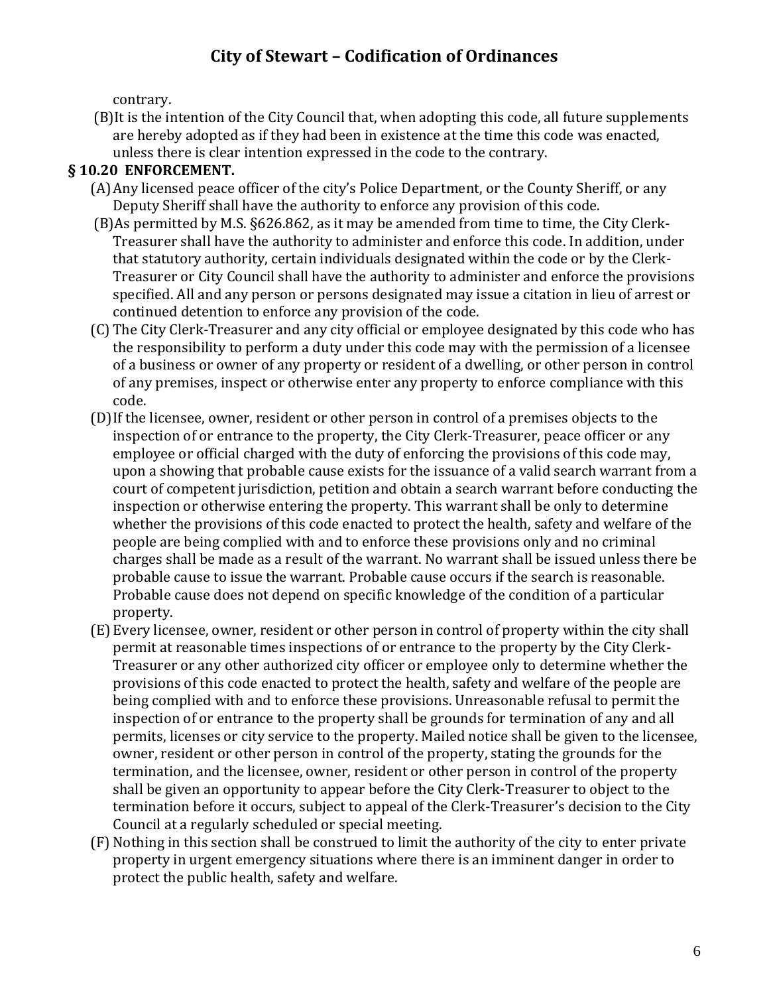contrary.

(B)It is the intention of the City Council that, when adopting this code, all future supplements are hereby adopted as if they had been in existence at the time this code was enacted, unless there is clear intention expressed in the code to the contrary.

### **§ 10.20 ENFORCEMENT.**

- (A)Any licensed peace officer of the city's Police Department, or the County Sheriff, or any Deputy Sheriff shall have the authority to enforce any provision of this code.
- (B)As permitted by M.S. §626.862, as it may be amended from time to time, the City Clerk-Treasurer shall have the authority to administer and enforce this code. In addition, under that statutory authority, certain individuals designated within the code or by the Clerk-Treasurer or City Council shall have the authority to administer and enforce the provisions specified. All and any person or persons designated may issue a citation in lieu of arrest or continued detention to enforce any provision of the code.
- (C) The City Clerk-Treasurer and any city official or employee designated by this code who has the responsibility to perform a duty under this code may with the permission of a licensee of a business or owner of any property or resident of a dwelling, or other person in control of any premises, inspect or otherwise enter any property to enforce compliance with this code.
- (D)If the licensee, owner, resident or other person in control of a premises objects to the inspection of or entrance to the property, the City Clerk-Treasurer, peace officer or any employee or official charged with the duty of enforcing the provisions of this code may, upon a showing that probable cause exists for the issuance of a valid search warrant from a court of competent jurisdiction, petition and obtain a search warrant before conducting the inspection or otherwise entering the property. This warrant shall be only to determine whether the provisions of this code enacted to protect the health, safety and welfare of the people are being complied with and to enforce these provisions only and no criminal charges shall be made as a result of the warrant. No warrant shall be issued unless there be probable cause to issue the warrant. Probable cause occurs if the search is reasonable. Probable cause does not depend on specific knowledge of the condition of a particular property.
- (E) Every licensee, owner, resident or other person in control of property within the city shall permit at reasonable times inspections of or entrance to the property by the City Clerk-Treasurer or any other authorized city officer or employee only to determine whether the provisions of this code enacted to protect the health, safety and welfare of the people are being complied with and to enforce these provisions. Unreasonable refusal to permit the inspection of or entrance to the property shall be grounds for termination of any and all permits, licenses or city service to the property. Mailed notice shall be given to the licensee, owner, resident or other person in control of the property, stating the grounds for the termination, and the licensee, owner, resident or other person in control of the property shall be given an opportunity to appear before the City Clerk-Treasurer to object to the termination before it occurs, subject to appeal of the Clerk-Treasurer's decision to the City Council at a regularly scheduled or special meeting.
- (F) Nothing in this section shall be construed to limit the authority of the city to enter private property in urgent emergency situations where there is an imminent danger in order to protect the public health, safety and welfare.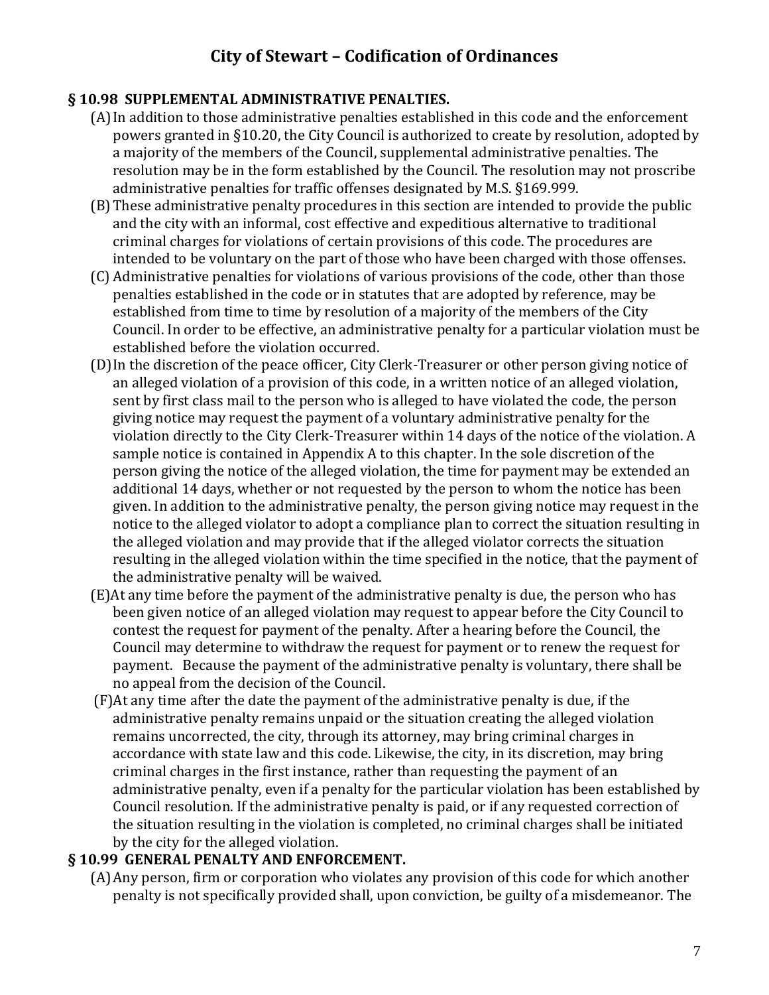#### **§ 10.98 SUPPLEMENTAL ADMINISTRATIVE PENALTIES.**

- (A)In addition to those administrative penalties established in this code and the enforcement powers granted in §10.20, the City Council is authorized to create by resolution, adopted by a majority of the members of the Council, supplemental administrative penalties. The resolution may be in the form established by the Council. The resolution may not proscribe administrative penalties for traffic offenses designated by M.S. §169.999.
- (B)These administrative penalty procedures in this section are intended to provide the public and the city with an informal, cost effective and expeditious alternative to traditional criminal charges for violations of certain provisions of this code. The procedures are intended to be voluntary on the part of those who have been charged with those offenses.
- (C) Administrative penalties for violations of various provisions of the code, other than those penalties established in the code or in statutes that are adopted by reference, may be established from time to time by resolution of a majority of the members of the City Council. In order to be effective, an administrative penalty for a particular violation must be established before the violation occurred.
- (D)In the discretion of the peace officer, City Clerk-Treasurer or other person giving notice of an alleged violation of a provision of this code, in a written notice of an alleged violation, sent by first class mail to the person who is alleged to have violated the code, the person giving notice may request the payment of a voluntary administrative penalty for the violation directly to the City Clerk-Treasurer within 14 days of the notice of the violation. A sample notice is contained in Appendix A to this chapter. In the sole discretion of the person giving the notice of the alleged violation, the time for payment may be extended an additional 14 days, whether or not requested by the person to whom the notice has been given. In addition to the administrative penalty, the person giving notice may request in the notice to the alleged violator to adopt a compliance plan to correct the situation resulting in the alleged violation and may provide that if the alleged violator corrects the situation resulting in the alleged violation within the time specified in the notice, that the payment of the administrative penalty will be waived.
- (E)At any time before the payment of the administrative penalty is due, the person who has been given notice of an alleged violation may request to appear before the City Council to contest the request for payment of the penalty. After a hearing before the Council, the Council may determine to withdraw the request for payment or to renew the request for payment. Because the payment of the administrative penalty is voluntary, there shall be no appeal from the decision of the Council.
- (F)At any time after the date the payment of the administrative penalty is due, if the administrative penalty remains unpaid or the situation creating the alleged violation remains uncorrected, the city, through its attorney, may bring criminal charges in accordance with state law and this code. Likewise, the city, in its discretion, may bring criminal charges in the first instance, rather than requesting the payment of an administrative penalty, even if a penalty for the particular violation has been established by Council resolution. If the administrative penalty is paid, or if any requested correction of the situation resulting in the violation is completed, no criminal charges shall be initiated by the city for the alleged violation.

### **§ 10.99 GENERAL PENALTY AND ENFORCEMENT.**

(A)Any person, firm or corporation who violates any provision of this code for which another penalty is not specifically provided shall, upon conviction, be guilty of a misdemeanor. The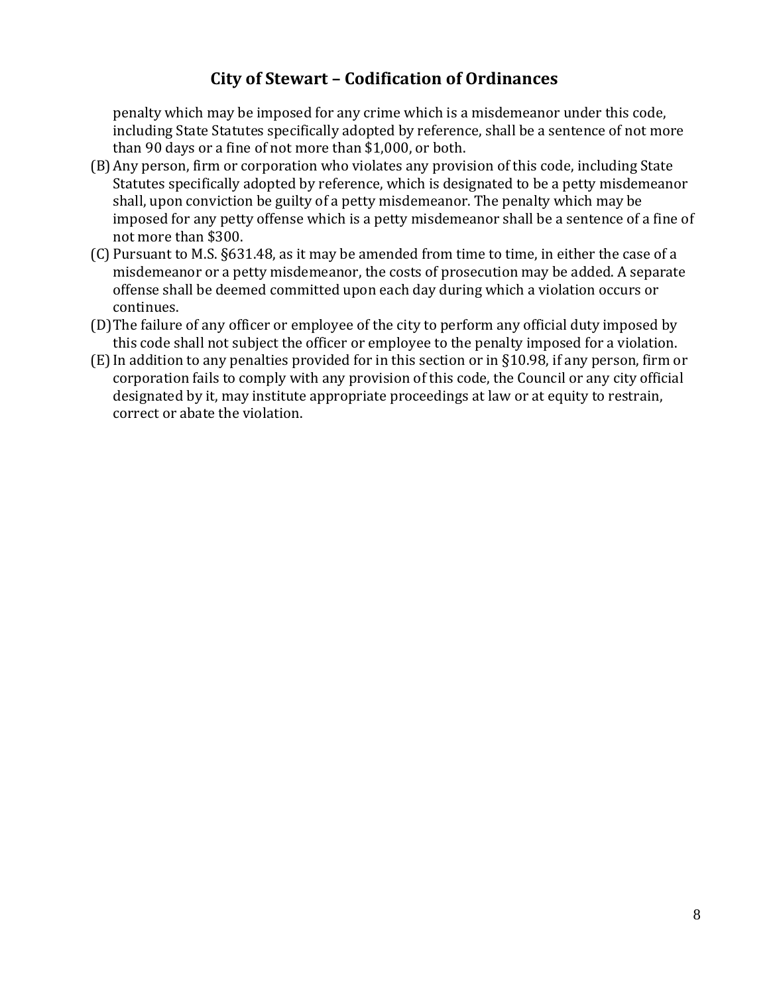penalty which may be imposed for any crime which is a misdemeanor under this code, including State Statutes specifically adopted by reference, shall be a sentence of not more than 90 days or a fine of not more than \$1,000, or both.

- (B)Any person, firm or corporation who violates any provision of this code, including State Statutes specifically adopted by reference, which is designated to be a petty misdemeanor shall, upon conviction be guilty of a petty misdemeanor. The penalty which may be imposed for any petty offense which is a petty misdemeanor shall be a sentence of a fine of not more than \$300.
- (C) Pursuant to M.S. §631.48, as it may be amended from time to time, in either the case of a misdemeanor or a petty misdemeanor, the costs of prosecution may be added. A separate offense shall be deemed committed upon each day during which a violation occurs or continues.
- (D)The failure of any officer or employee of the city to perform any official duty imposed by this code shall not subject the officer or employee to the penalty imposed for a violation.
- (E)In addition to any penalties provided for in this section or in §10.98, if any person, firm or corporation fails to comply with any provision of this code, the Council or any city official designated by it, may institute appropriate proceedings at law or at equity to restrain, correct or abate the violation.